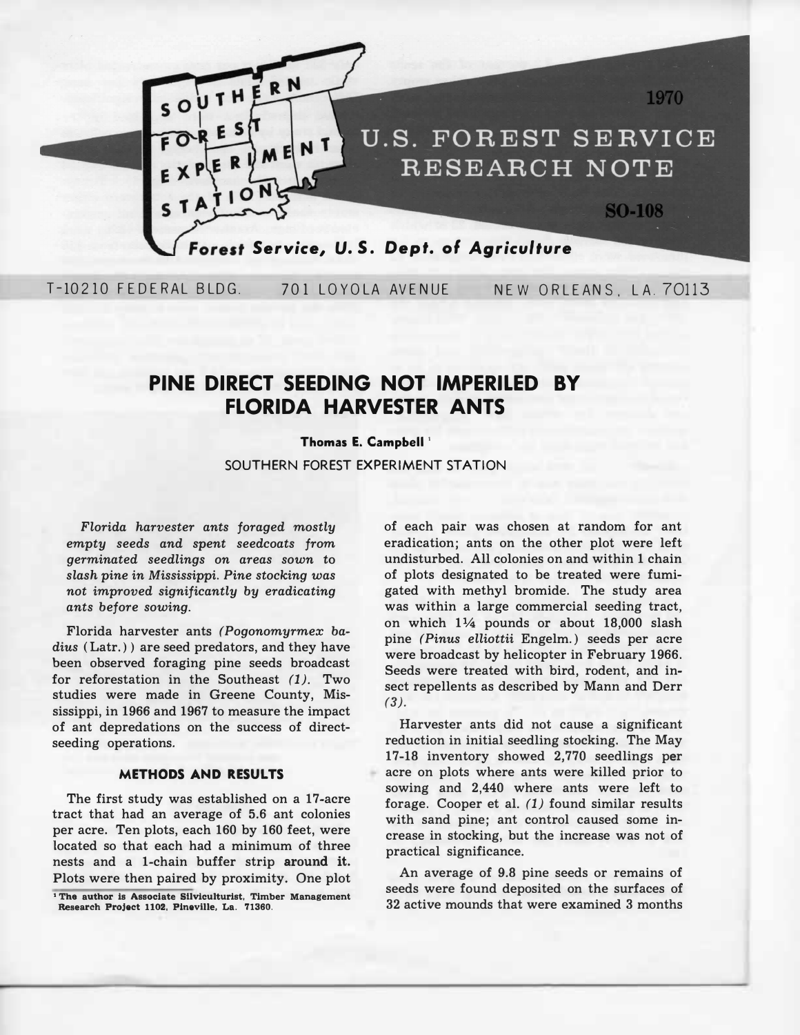

T-10210 FEDERAL BLDG. 701 LOYOLA AVENUE NEW ORLEANS, LA. 70113

# **PINE DIRECT SEEDING NOT IMPERILED BY FLORIDA HARVESTER ANTS**

## **Thomas E. Campbell '**

SOUTHERN FOREST EXPERIMENT STATION

*Florida harvester ants foraged mostly empty seeds and spent seedcoats from germinated seedlings on areas sown* **to**  *slash pine in Mississippi. Pine stocking was not improved significantly by eradicating ants before sowing.* 

**Florida harvester ants** *(Pogonomyrmex badius* **( Latr.) ) are seed predators, and they have been observed foraging pine seeds broadcast for reforestation in the Southeast** *(1).* **Two studies were made in Greene County, Mississippi, in 1966 and 1967 to measure the impact of ant depredations on the success of directseeding operations.** 

### **METHODS AND RESULTS**

**The first study was established on a 17-acre tract that had an average of 5.6 ant colonies per acre. Ten plots, each 160 by 160 feet, were located so that each had a minimum of three nests and a 1-chain buffer strip around it. Plots were then paired by proximity. One plot** 

**<sup>1</sup>The author is Associate Sllviculturist, Timber Management Research Project 1102, Pineville,** La. 71360.

**of each pair was chosen at random for ant eradication; ants on the other plot were left undisturbed. All colonies on and within 1 chain of plots designated to be treated were fumigated with methyl bromide. The study area was within a large commercial seeding tract, on which 1 ¼ pounds or about 18,000 slash pine** *(Pin us elliottii* **Engelm.) seeds per acre were broadcast by helicopter in February 1966. Seeds were treated with bird, rodent, and insect repellents as described by Mann and Derr**  *(3).* 

**Harvester ants did not cause a significant reduction in initial seedling stocking. The May 17-18 inventory showed 2,770 seedlings per acre on plots where ants were killed prior to sowing and 2,440 where ants were left to forage. Cooper et al.** *(1)* **found similar results with sand pine; ant control caused some increase in stocking, but the increase was not of practical significance.** 

**An average of 9.8 pine seeds or remains of seeds were found deposited on the surfaces of 32 active mounds that were examined 3 months**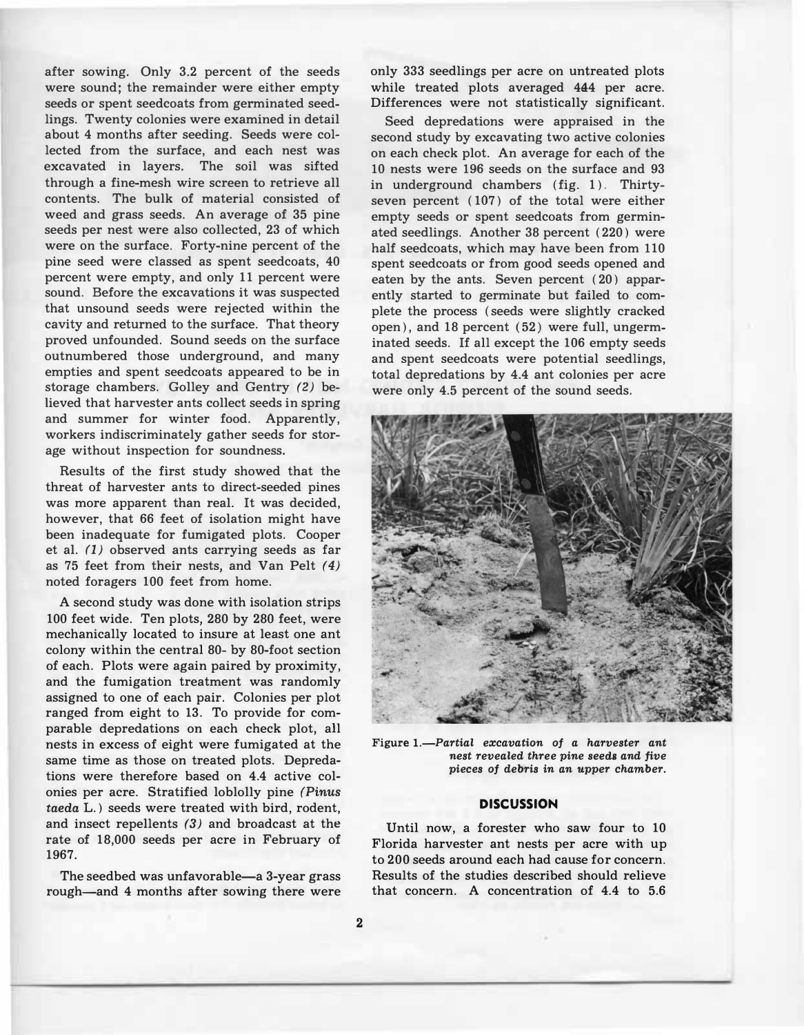**after sowing. Only 3.2 percent of the seeds were sound; the remainder were either empty seeds or spent seedcoats from germinated seedlings. Twenty colonies were examined in detail about 4 months after seeding. Seeds were collected from the surface, and each nest was excavated in layers. The soil was sifted through a fine-mesh wire screen to retrieve all contents. The bulk of material consisted of weed and grass seeds. An average of 35 pine seeds per nest were also collected, 23 of which were on the surface. Forty-nine percent of the pine seed were classed as spent seedcoats, 40 percent were empty, and only 11 percent were sound. Before the excavations it was suspected that unsound seeds were rejected within the cavity and returned to the surface. That theory proved unfounded. Sound seeds on the surface outnumbered those underground, and many empties and spent seedcoats appeared to be in storage chambers. Golley and Gentry** *(2)* **believed that harvester ants collect seeds in spring and summer for winter food. Apparently, workers indiscriminately gather seeds for storage without inspection for soundness.** 

**Results of the first study showed that the threat of harvester ants to direct-seeded pines was more apparent than real. It was decided, however, that 66 feet of isolation might have been inadequate for fumigated plots. Cooper et al.** *(1)* **observed ants carrying seeds as far as 75 feet from their nests, and Van Pelt** *(4)*  **noted foragers 100 feet from home.** 

**A second study was done with isolation strips 100 feet wide. Ten plots, 280 by 280 feet, were mechanically located to insure at least one ant colony within the central 80- by 80-foot section of each. Plots were again paired by proximity, and the fumigation treatment was randomly assigned to one of each pair. Colonies per plot ranged from eight to 13. To provide for comparable depredations on each check plot, all nests in excess of eight were fumigated at the same time as those on treated plots. Depredations were therefore based on 4.4 active colonies per acre. Stratified loblolly pine** *(Pinus taeda* **L.) seeds were treated with bird, rodent, and insect repellents** *(3)* **and broadcast at the rate of 18,000 seeds per acre in February of 1967.** 

**The seedbed was unfavorable-a 3-year grass rough-and 4 months after sowing there were** 

**only 333 seedlings per acre on untreated plots while treated plots averaged 444 per acre. Differences were not statistically significant.** 

**Seed depredations were appraised in the second study by excavating two active colonies on each check plot. An average for each of the 10 nests were 196 seeds on the surface and 93**  in underground chambers (fig. 1). Thirty**seven percent ( 107) of the total were either empty seeds or spent seedcoats from germinated seedlings. Another 38 percent ( 220) were half seedcoats, which may have been from 110 spent seedcoats or from good seeds opened and eaten by the ants. Seven percent ( 20) apparently started to germinate but failed to complete the process ( seeds were slightly cracked open), and 18 percent ( 52) were full, ungerminated seeds. If all except the 106 empty seeds and spent seedcoats were potential seedlings, total depredations by 4.4 ant colonies per acre were only 4.5 percent of the sound seeds.** 



Figure 1.-Partial excavation of a harvester ant *nest revealed three pine* **seeds** *and five pieces of debris in an upper chamber.* 

#### **DISCUSSION**

**Until now, a forester who saw four to 10 Florida harvester ant nests per acre with up to 200 seeds around each had cause for concern. Results of the studies described should relieve that concern. A concentration of 4.4 to 5.6**